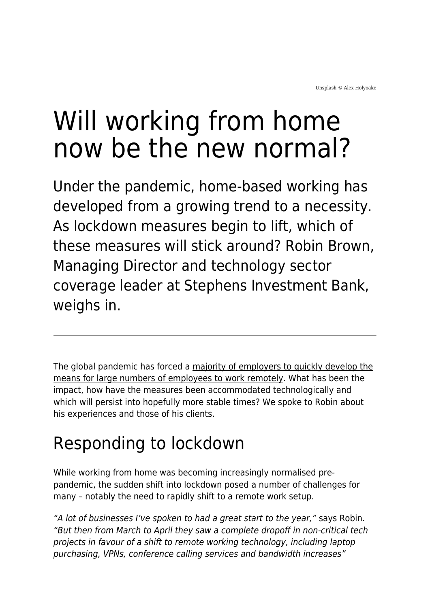# Will working from home now be the new normal?

Under the pandemic, home-based working has developed from a growing trend to a necessity. As lockdown measures begin to lift, which of these measures will stick around? Robin Brown, Managing Director and technology sector coverage leader at Stephens Investment Bank, weighs in.

The global pandemic has forced a [majority of employers to quickly develop the](https://www.maddyness.com/uk/2020/05/18/is-it-possible-to-build-a-great-company-culture-remotely/) [means for large numbers of employees to work remotely](https://www.maddyness.com/uk/2020/05/18/is-it-possible-to-build-a-great-company-culture-remotely/). What has been the impact, how have the measures been accommodated technologically and which will persist into hopefully more stable times? We spoke to Robin about his experiences and those of his clients.

## Responding to lockdown

While working from home was becoming increasingly normalised prepandemic, the sudden shift into lockdown posed a number of challenges for many – notably the need to rapidly shift to a remote work setup.

"A lot of businesses I've spoken to had a great start to the year," says Robin. "But then from March to April they saw a complete dropoff in non-critical tech projects in favour of a shift to remote working technology, including laptop purchasing, VPNs, conference calling services and bandwidth increases"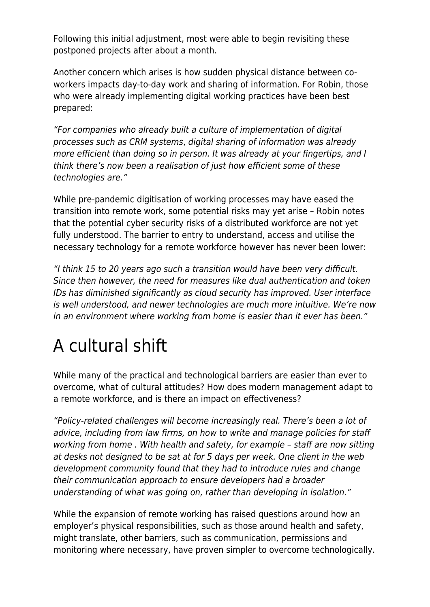Following this initial adjustment, most were able to begin revisiting these postponed projects after about a month.

Another concern which arises is how sudden physical distance between coworkers impacts day-to-day work and sharing of information. For Robin, those who were already implementing digital working practices have been best prepared:

"For companies who already built a culture of implementation of digital processes such as CRM systems, digital sharing of information was already more efficient than doing so in person. It was already at your fingertips, and I think there's now been a realisation of just how efficient some of these technologies are."

While pre-pandemic digitisation of working processes may have eased the transition into remote work, some potential risks may yet arise – Robin notes that the potential cyber security risks of a distributed workforce are not yet fully understood. The barrier to entry to understand, access and utilise the necessary technology for a remote workforce however has never been lower:

"I think 15 to 20 years ago such a transition would have been very difficult. Since then however, the need for measures like dual authentication and token IDs has diminished significantly as cloud security has improved. User interface is well understood, and newer technologies are much more intuitive. We're now in an environment where working from home is easier than it ever has been."

### A cultural shift

While many of the practical and technological barriers are easier than ever to overcome, what of cultural attitudes? How does modern management adapt to a remote workforce, and is there an impact on effectiveness?

"Policy-related challenges will become increasingly real. There's been a lot of advice, including from law firms, on how to write and manage policies for staff working from home . With health and safety, for example – staff are now sitting at desks not designed to be sat at for 5 days per week. One client in the web development community found that they had to introduce rules and change their communication approach to ensure developers had a broader understanding of what was going on, rather than developing in isolation."

While the expansion of remote working has raised questions around how an employer's physical responsibilities, such as those around health and safety, might translate, other barriers, such as communication, permissions and monitoring where necessary, have proven simpler to overcome technologically.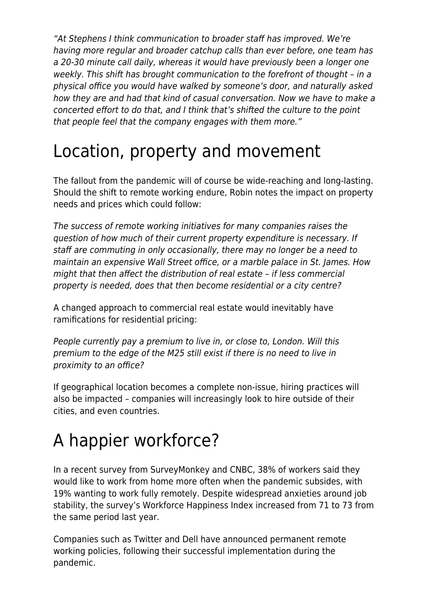"At Stephens I think communication to broader staff has improved. We're having more regular and broader catchup calls than ever before, one team has a 20-30 minute call daily, whereas it would have previously been a longer one weekly. This shift has brought communication to the forefront of thought – in a physical office you would have walked by someone's door, and naturally asked how they are and had that kind of casual conversation. Now we have to make a concerted effort to do that, and I think that's shifted the culture to the point that people feel that the company engages with them more."

#### Location, property and movement

The fallout from the pandemic will of course be wide-reaching and long-lasting. Should the shift to remote working endure, Robin notes the impact on property needs and prices which could follow:

The success of remote working initiatives for many companies raises the question of how much of their current property expenditure is necessary. If staff are commuting in only occasionally, there may no longer be a need to maintain an expensive Wall Street office, or a marble palace in St. James. How might that then affect the distribution of real estate – if less commercial property is needed, does that then become residential or a city centre?

A changed approach to commercial real estate would inevitably have ramifications for residential pricing:

People currently pay a premium to live in, or close to, London. Will this premium to the edge of the M25 still exist if there is no need to live in proximity to an office?

If geographical location becomes a complete non-issue, hiring practices will also be impacted – companies will increasingly look to hire outside of their cities, and even countries.

### A happier workforce?

In a recent survey from SurveyMonkey and CNBC, 38% of workers said they would like to work from home more often when the pandemic subsides, with 19% wanting to work fully remotely. Despite widespread anxieties around job stability, the survey's Workforce Happiness Index increased from 71 to 73 from the same period last year.

Companies such as Twitter and Dell have announced permanent remote working policies, following their successful implementation during the pandemic.